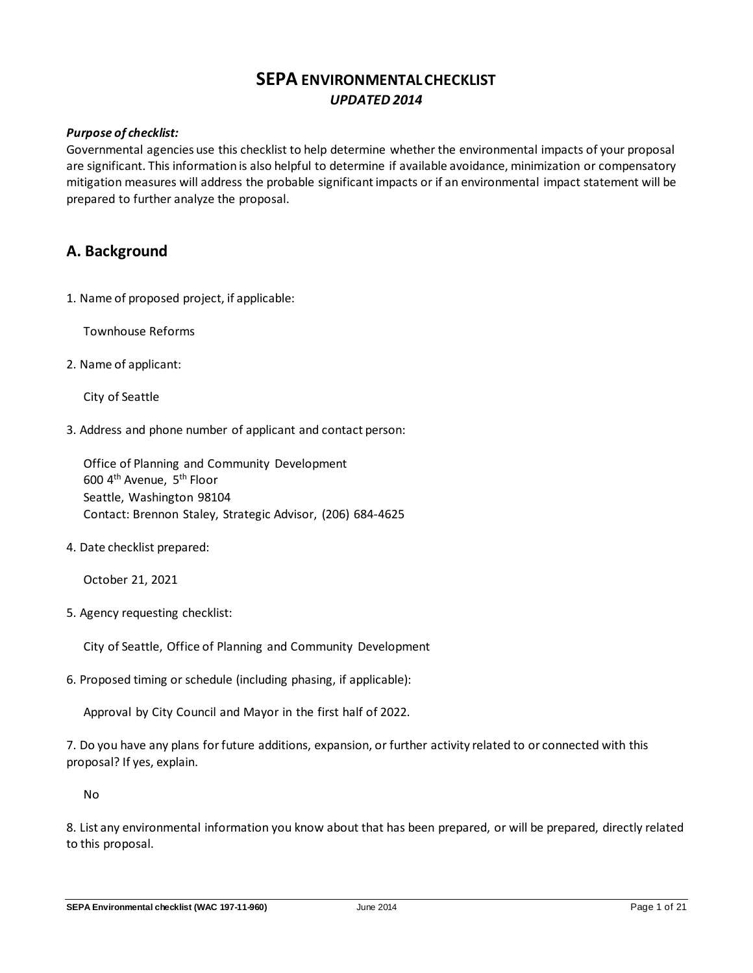## **SEPA ENVIRONMENTAL CHECKLIST** *UPDATED 2014*

## *Purpose of checklist:*

Governmental agencies use this checklist to help determine whether the environmental impacts of your proposal are significant. This information is also helpful to determine if available avoidance, minimization or compensatory mitigation measures will address the probable significant impacts or if an environmental impact statement will be prepared to further analyze the proposal.

## **A. Background**

1. Name of proposed project, if applicable:

Townhouse Reforms

2. Name of applicant:

City of Seattle

3. Address and phone number of applicant and contact person:

Office of Planning and Community Development 600 4th Avenue, 5th Floor Seattle, Washington 98104 Contact: Brennon Staley, Strategic Advisor, (206) 684-4625

4. Date checklist prepared:

October 21, 2021

5. Agency requesting checklist:

City of Seattle, Office of Planning and Community Development

6. Proposed timing or schedule (including phasing, if applicable):

Approval by City Council and Mayor in the first half of 2022.

7. Do you have any plans for future additions, expansion, or further activity related to or connected with this proposal? If yes, explain.

No

8. List any environmental information you know about that has been prepared, or will be prepared, directly related to this proposal.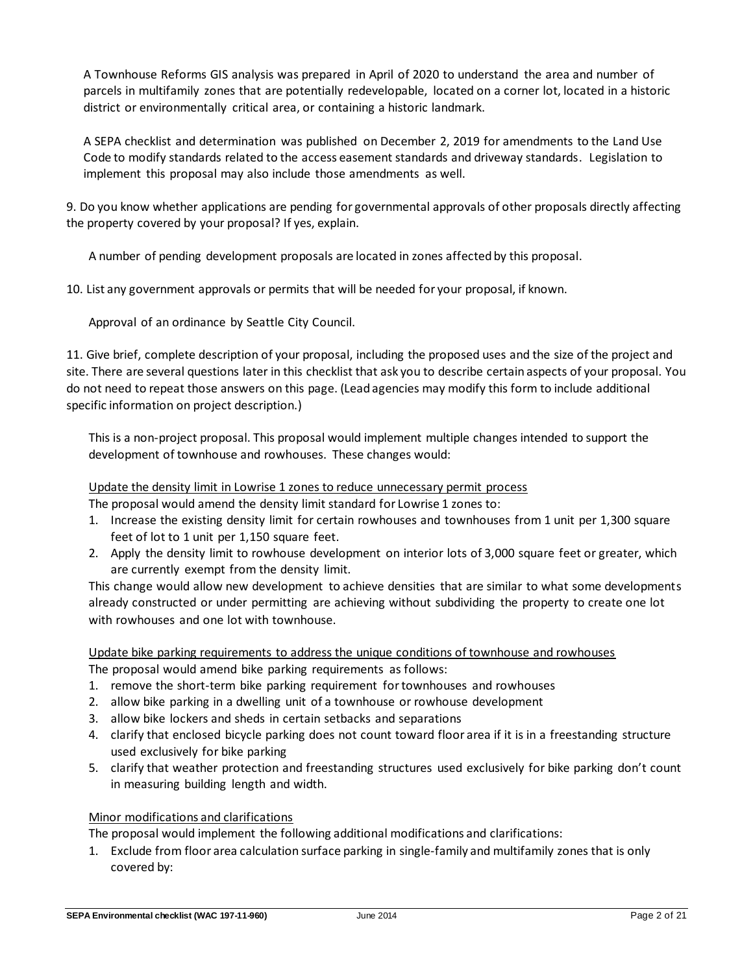A Townhouse Reforms GIS analysis was prepared in April of 2020 to understand the area and number of parcels in multifamily zones that are potentially redevelopable, located on a corner lot, located in a historic district or environmentally critical area, or containing a historic landmark.

A SEPA checklist and determination was published on December 2, 2019 for amendments to the Land Use Code to modify standards related to the access easement standards and driveway standards. Legislation to implement this proposal may also include those amendments as well.

9. Do you know whether applications are pending for governmental approvals of other proposals directly affecting the property covered by your proposal? If yes, explain.

A number of pending development proposals are located in zones affected by this proposal.

10. List any government approvals or permits that will be needed for your proposal, if known.

Approval of an ordinance by Seattle City Council.

11. Give brief, complete description of your proposal, including the proposed uses and the size of the project and site. There are several questions later in this checklist that ask you to describe certain aspects of your proposal. You do not need to repeat those answers on this page. (Lead agencies may modify this form to include additional specific information on project description.)

This is a non-project proposal. This proposal would implement multiple changes intended to support the development of townhouse and rowhouses. These changes would:

## Update the density limit in Lowrise 1 zones to reduce unnecessary permit process

The proposal would amend the density limit standard for Lowrise 1 zones to:

- 1. Increase the existing density limit for certain rowhouses and townhouses from 1 unit per 1,300 square feet of lot to 1 unit per 1,150 square feet.
- 2. Apply the density limit to rowhouse development on interior lots of 3,000 square feet or greater, which are currently exempt from the density limit.

This change would allow new development to achieve densities that are similar to what some developments already constructed or under permitting are achieving without subdividing the property to create one lot with rowhouses and one lot with townhouse.

# Update bike parking requirements to address the unique conditions of townhouse and rowhouses

The proposal would amend bike parking requirements as follows:

- 1. remove the short-term bike parking requirement for townhouses and rowhouses
- 2. allow bike parking in a dwelling unit of a townhouse or rowhouse development
- 3. allow bike lockers and sheds in certain setbacks and separations
- 4. clarify that enclosed bicycle parking does not count toward floor area if it is in a freestanding structure used exclusively for bike parking
- 5. clarify that weather protection and freestanding structures used exclusively for bike parking don't count in measuring building length and width.

## Minor modifications and clarifications

The proposal would implement the following additional modifications and clarifications:

1. Exclude from floor area calculation surface parking in single-family and multifamily zones that is only covered by: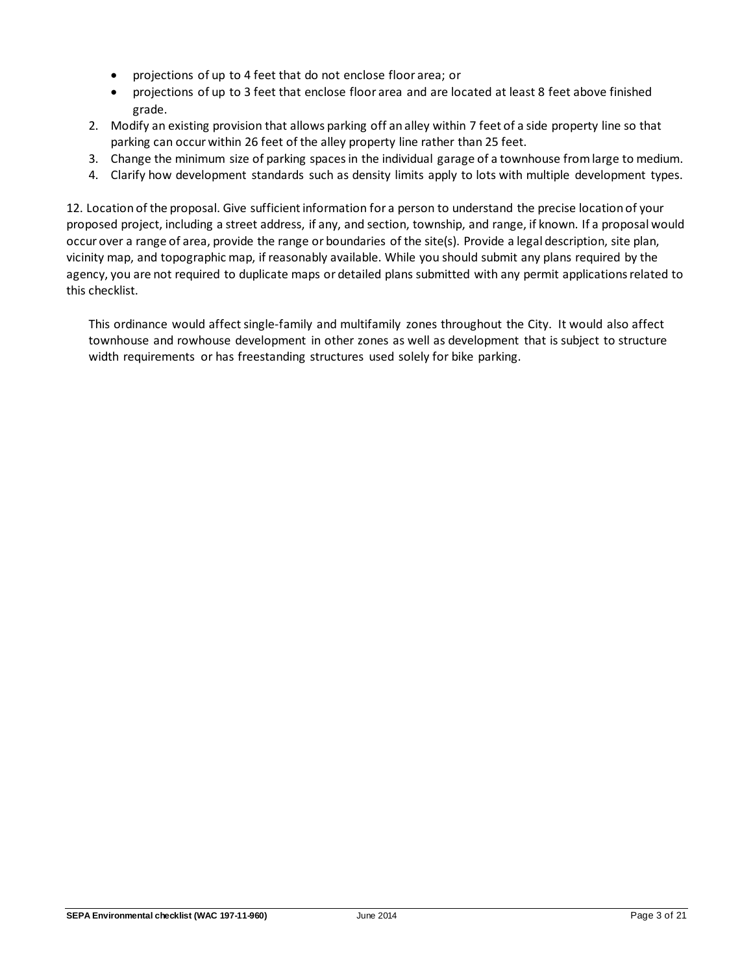- projections of up to 4 feet that do not enclose floor area; or
- projections of up to 3 feet that enclose floor area and are located at least 8 feet above finished grade.
- 2. Modify an existing provision that allows parking off an alley within 7 feet of a side property line so that parking can occur within 26 feet of the alley property line rather than 25 feet.
- 3. Change the minimum size of parking spaces in the individual garage of a townhouse from large to medium.
- 4. Clarify how development standards such as density limits apply to lots with multiple development types.

12. Location of the proposal. Give sufficient information for a person to understand the precise location of your proposed project, including a street address, if any, and section, township, and range, if known. If a proposal would occur over a range of area, provide the range or boundaries of the site(s). Provide a legal description, site plan, vicinity map, and topographic map, if reasonably available. While you should submit any plans required by the agency, you are not required to duplicate maps or detailed plans submitted with any permit applications related to this checklist.

This ordinance would affect single-family and multifamily zones throughout the City. It would also affect townhouse and rowhouse development in other zones as well as development that is subject to structure width requirements or has freestanding structures used solely for bike parking.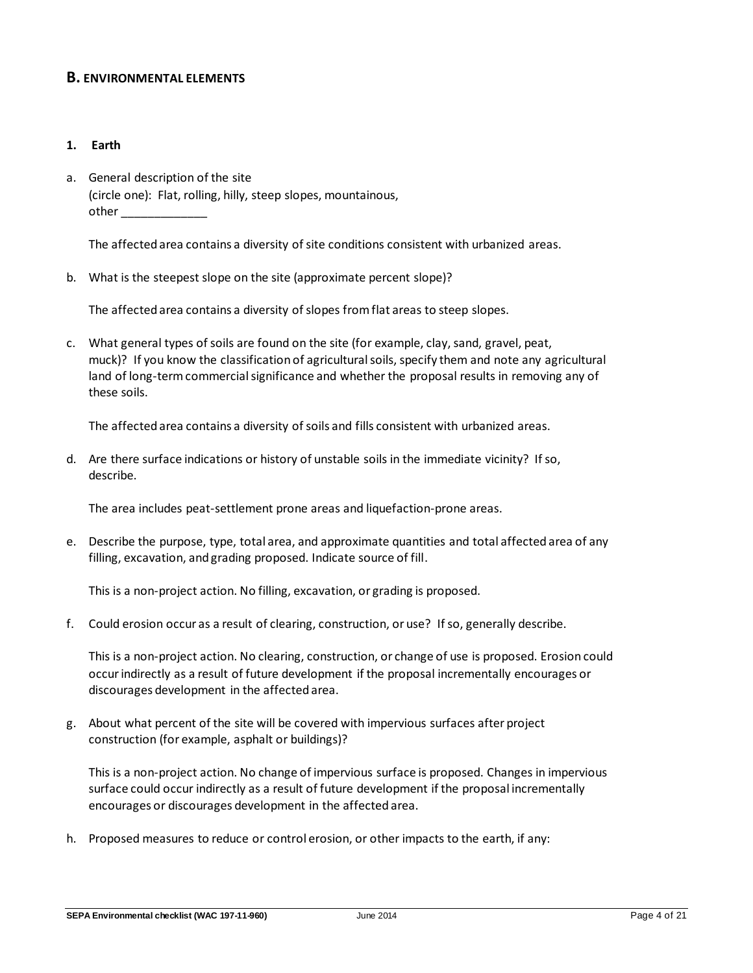## **B. ENVIRONMENTAL ELEMENTS**

#### **1. Earth**

a. General description of the site (circle one): Flat, rolling, hilly, steep slopes, mountainous, other \_\_\_\_\_\_\_\_\_\_\_\_\_

The affected area contains a diversity of site conditions consistent with urbanized areas.

b. What is the steepest slope on the site (approximate percent slope)?

The affected area contains a diversity of slopes from flat areas to steep slopes.

c. What general types of soils are found on the site (for example, clay, sand, gravel, peat, muck)? If you know the classification of agricultural soils, specify them and note any agricultural land of long-term commercial significance and whether the proposal results in removing any of these soils.

The affected area contains a diversity of soils and fills consistent with urbanized areas.

d. Are there surface indications or history of unstable soils in the immediate vicinity? If so, describe.

The area includes peat-settlement prone areas and liquefaction-prone areas.

e. Describe the purpose, type, total area, and approximate quantities and total affected area of any filling, excavation, and grading proposed. Indicate source of fill.

This is a non-project action. No filling, excavation, or grading is proposed.

f. Could erosion occur as a result of clearing, construction, or use? If so, generally describe.

This is a non-project action. No clearing, construction, or change of use is proposed. Erosion could occur indirectly as a result of future development if the proposal incrementally encourages or discourages development in the affected area.

g. About what percent of the site will be covered with impervious surfaces after project construction (for example, asphalt or buildings)?

This is a non-project action. No change of impervious surface is proposed. Changes in impervious surface could occur indirectly as a result of future development if the proposal incrementally encourages or discourages development in the affected area.

h. Proposed measures to reduce or control erosion, or other impacts to the earth, if any: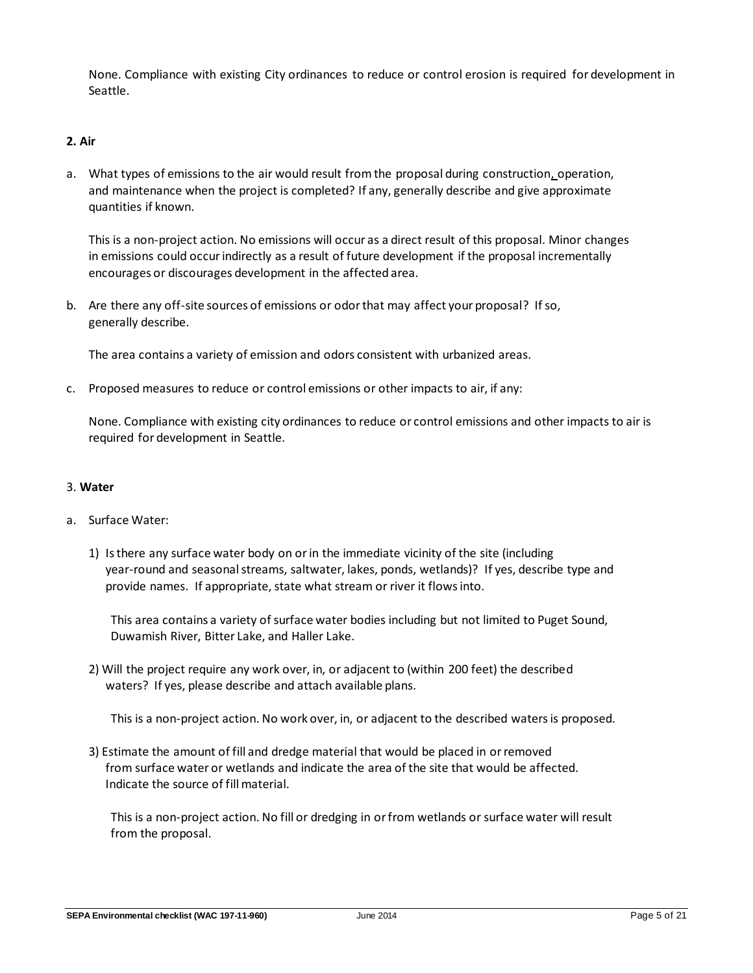None. Compliance with existing City ordinances to reduce or control erosion is required for development in Seattle.

## **2. Air**

a. What types of emissions to the air would result from the proposal during construction, operation, and maintenance when the project is completed? If any, generally describe and give approximate quantities if known.

This is a non-project action. No emissions will occur as a direct result of this proposal. Minor changes in emissions could occur indirectly as a result of future development if the proposal incrementally encourages or discourages development in the affected area.

b. Are there any off-site sources of emissions or odor that may affect your proposal? If so, generally describe.

The area contains a variety of emission and odors consistent with urbanized areas.

c. Proposed measures to reduce or control emissions or other impacts to air, if any:

None. Compliance with existing city ordinances to reduce or control emissions and other impacts to air is required for development in Seattle.

#### 3. **Water**

## a. Surface Water:

1) Is there any surface water body on or in the immediate vicinity of the site (including year-round and seasonal streams, saltwater, lakes, ponds, wetlands)? If yes, describe type and provide names. If appropriate, state what stream or river it flows into.

This area contains a variety of surface water bodies including but not limited to Puget Sound, Duwamish River, Bitter Lake, and Haller Lake.

2) Will the project require any work over, in, or adjacent to (within 200 feet) the described waters? If yes, please describe and attach available plans.

This is a non-project action. No work over, in, or adjacent to the described waters is proposed.

3) Estimate the amount of fill and dredge material that would be placed in or removed from surface water or wetlands and indicate the area of the site that would be affected. Indicate the source of fill material.

This is a non-project action. No fill or dredging in or from wetlands or surface water will result from the proposal.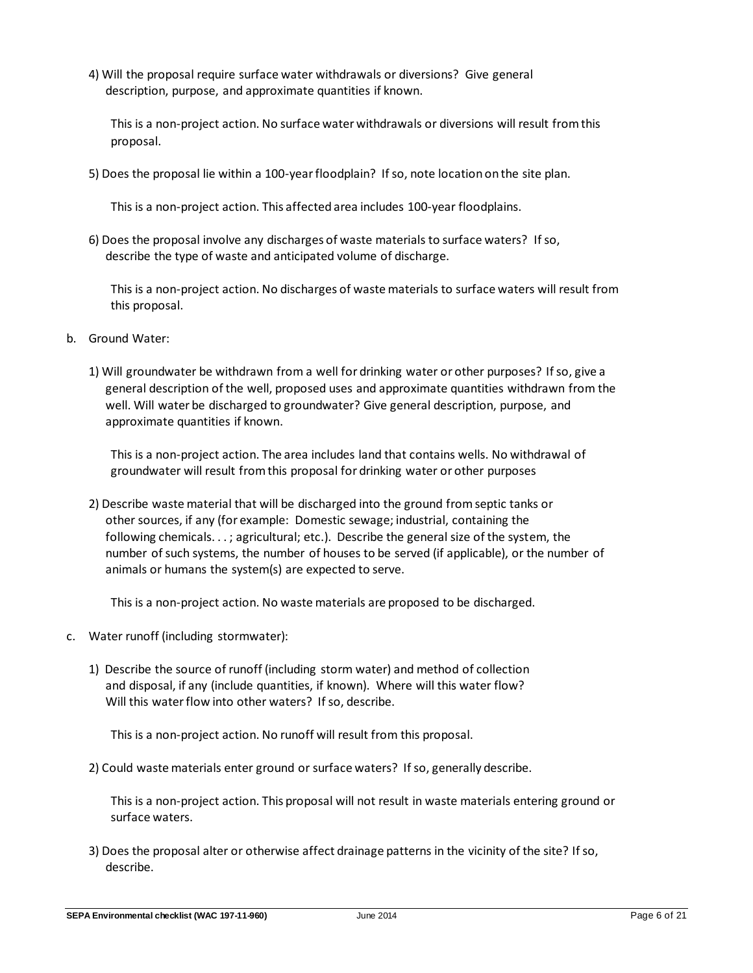4) Will the proposal require surface water withdrawals or diversions? Give general description, purpose, and approximate quantities if known.

This is a non-project action. No surface water withdrawals or diversions will result from this proposal.

5) Does the proposal lie within a 100-year floodplain? If so, note location on the site plan.

This is a non-project action. This affected area includes 100-year floodplains.

6) Does the proposal involve any discharges of waste materials to surface waters? If so, describe the type of waste and anticipated volume of discharge.

This is a non-project action. No discharges of waste materials to surface waters will result from this proposal.

- b. Ground Water:
	- 1) Will groundwater be withdrawn from a well for drinking water or other purposes? If so, give a general description of the well, proposed uses and approximate quantities withdrawn from the well. Will water be discharged to groundwater? Give general description, purpose, and approximate quantities if known.

This is a non-project action. The area includes land that contains wells. No withdrawal of groundwater will result from this proposal for drinking water or other purposes

2) Describe waste material that will be discharged into the ground from septic tanks or other sources, if any (for example: Domestic sewage; industrial, containing the following chemicals. . . ; agricultural; etc.). Describe the general size of the system, the number of such systems, the number of houses to be served (if applicable), or the number of animals or humans the system(s) are expected to serve.

This is a non-project action. No waste materials are proposed to be discharged.

- c. Water runoff (including stormwater):
	- 1) Describe the source of runoff (including storm water) and method of collection and disposal, if any (include quantities, if known). Where will this water flow? Will this water flow into other waters? If so, describe.

This is a non-project action. No runoff will result from this proposal.

2) Could waste materials enter ground or surface waters? If so, generally describe.

This is a non-project action. This proposal will not result in waste materials entering ground or surface waters.

3) Does the proposal alter or otherwise affect drainage patterns in the vicinity of the site? If so, describe.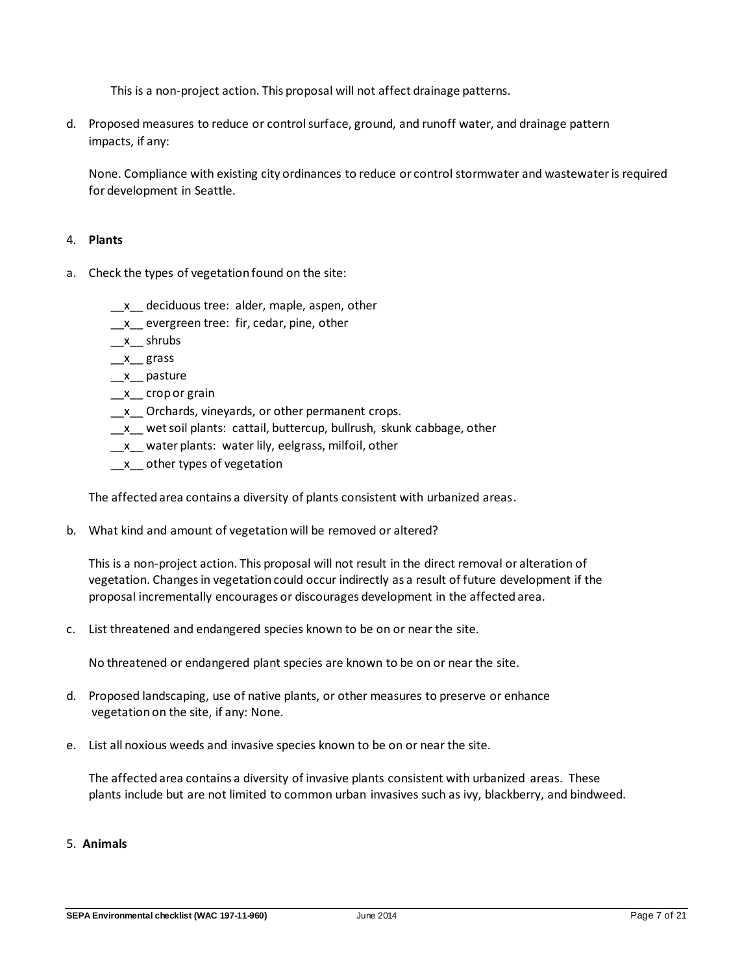This is a non-project action. This proposal will not affect drainage patterns.

d. Proposed measures to reduce or control surface, ground, and runoff water, and drainage pattern impacts, if any:

None. Compliance with existing city ordinances to reduce or control stormwater and wastewater is required for development in Seattle.

#### 4. **Plants**

- a. Check the types of vegetation found on the site:
	- \_\_x\_\_ deciduous tree: alder, maple, aspen, other
	- \_x\_ evergreen tree: fir, cedar, pine, other
	- $x_$  shrubs
	- $x$ <sub>\_</sub>grass
	- $x$ <sub>\_</sub> pasture
	- \_x\_ crop or grain
	- \_x\_ Orchards, vineyards, or other permanent crops.
	- \_x\_ wet soil plants: cattail, buttercup, bullrush, skunk cabbage, other
	- \_x\_ water plants: water lily, eelgrass, milfoil, other
	- \_\_x\_\_ other types of vegetation

The affected area contains a diversity of plants consistent with urbanized areas.

b. What kind and amount of vegetation will be removed or altered?

This is a non-project action. This proposal will not result in the direct removal or alteration of vegetation. Changes in vegetation could occur indirectly as a result of future development if the proposal incrementally encourages or discourages development in the affected area.

c. List threatened and endangered species known to be on or near the site.

No threatened or endangered plant species are known to be on or near the site.

- d. Proposed landscaping, use of native plants, or other measures to preserve or enhance vegetation on the site, if any: None.
- e. List all noxious weeds and invasive species known to be on or near the site.

The affected area contains a diversity of invasive plants consistent with urbanized areas. These plants include but are not limited to common urban invasives such as ivy, blackberry, and bindweed.

## 5. **Animals**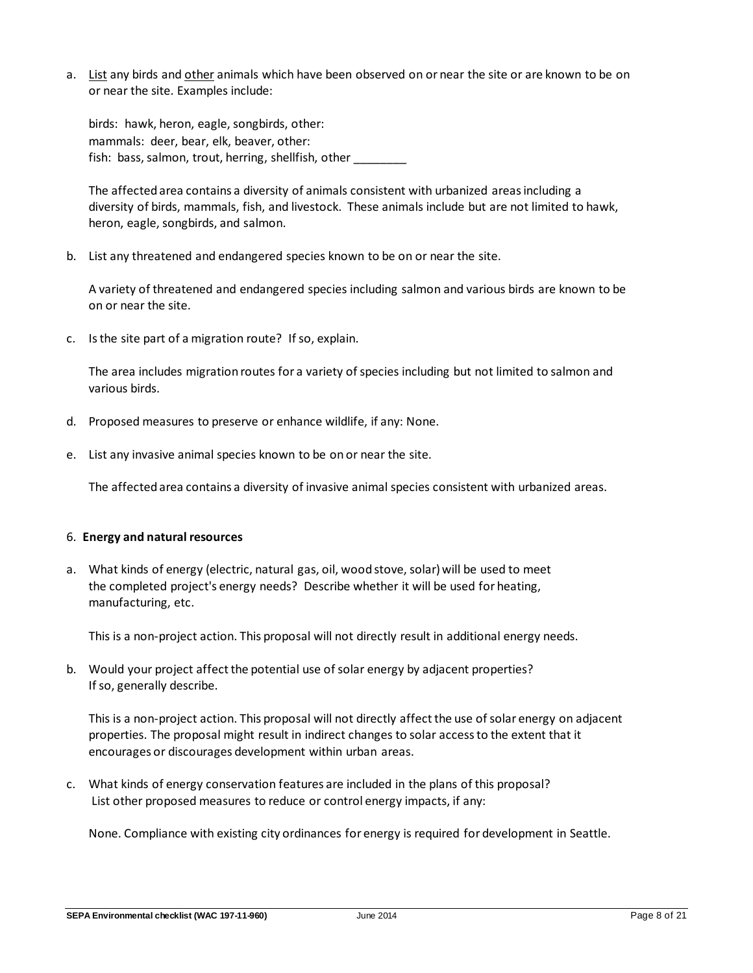a. List any birds and other animals which have been observed on or near the site or are known to be on or near the site. Examples include:

birds: hawk, heron, eagle, songbirds, other: mammals: deer, bear, elk, beaver, other: fish: bass, salmon, trout, herring, shellfish, other

The affected area contains a diversity of animals consistent with urbanized areas including a diversity of birds, mammals, fish, and livestock. These animals include but are not limited to hawk, heron, eagle, songbirds, and salmon.

b. List any threatened and endangered species known to be on or near the site.

A variety of threatened and endangered species including salmon and various birds are known to be on or near the site.

c. Is the site part of a migration route? If so, explain.

The area includes migration routes for a variety of species including but not limited to salmon and various birds.

- d. Proposed measures to preserve or enhance wildlife, if any: None.
- e. List any invasive animal species known to be on or near the site.

The affected area contains a diversity of invasive animal species consistent with urbanized areas.

#### 6. **Energy and natural resources**

a. What kinds of energy (electric, natural gas, oil, wood stove, solar) will be used to meet the completed project's energy needs? Describe whether it will be used for heating, manufacturing, etc.

This is a non-project action. This proposal will not directly result in additional energy needs.

b. Would your project affect the potential use of solar energy by adjacent properties? If so, generally describe.

This is a non-project action. This proposal will not directly affect the use of solar energy on adjacent properties. The proposal might result in indirect changes to solar access to the extent that it encourages or discourages development within urban areas.

c. What kinds of energy conservation features are included in the plans of this proposal? List other proposed measures to reduce or control energy impacts, if any:

None. Compliance with existing city ordinances for energy is required for development in Seattle.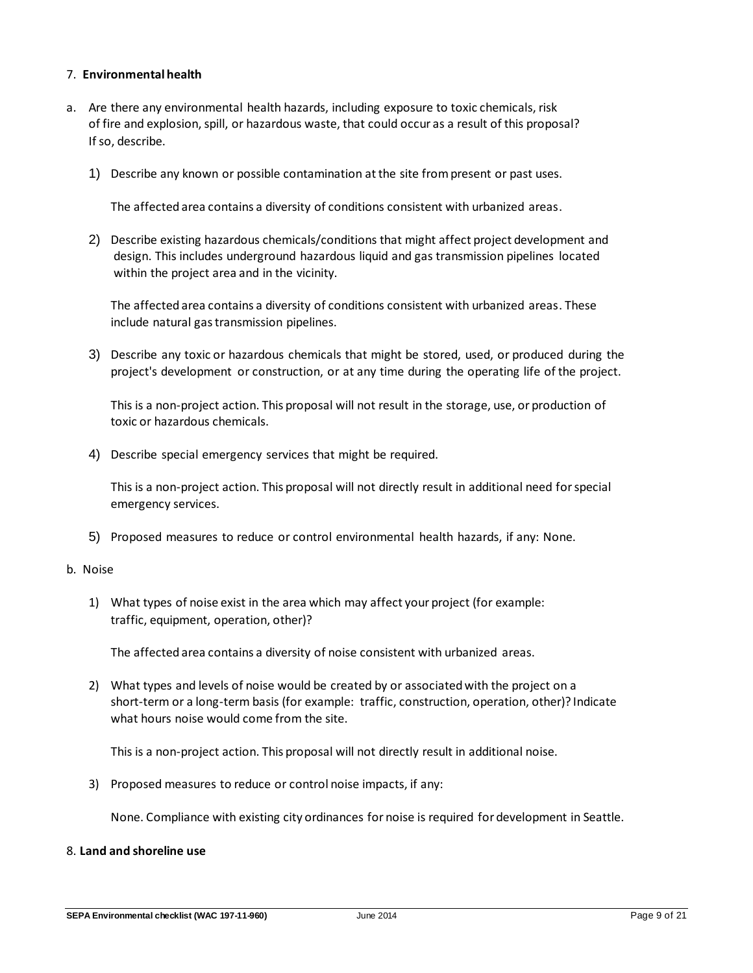#### 7. **Environmental health**

- a. Are there any environmental health hazards, including exposure to toxic chemicals, risk of fire and explosion, spill, or hazardous waste, that could occur as a result of this proposal? If so, describe.
	- 1) Describe any known or possible contamination at the site from present or past uses.

The affected area contains a diversity of conditions consistent with urbanized areas.

2) Describe existing hazardous chemicals/conditions that might affect project development and design. This includes underground hazardous liquid and gas transmission pipelines located within the project area and in the vicinity.

The affected area contains a diversity of conditions consistent with urbanized areas. These include natural gas transmission pipelines.

3) Describe any toxic or hazardous chemicals that might be stored, used, or produced during the project's development or construction, or at any time during the operating life of the project.

This is a non-project action. This proposal will not result in the storage, use, or production of toxic or hazardous chemicals.

4) Describe special emergency services that might be required.

This is a non-project action. This proposal will not directly result in additional need for special emergency services.

5) Proposed measures to reduce or control environmental health hazards, if any: None.

#### b.Noise

1) What types of noise exist in the area which may affect your project (for example: traffic, equipment, operation, other)?

The affected area contains a diversity of noise consistent with urbanized areas.

2) What types and levels of noise would be created by or associated with the project on a short-term or a long-term basis (for example: traffic, construction, operation, other)? Indicate what hours noise would come from the site.

This is a non-project action. This proposal will not directly result in additional noise.

3) Proposed measures to reduce or control noise impacts, if any:

None. Compliance with existing city ordinances for noise is required for development in Seattle.

### 8. **Land and shoreline use**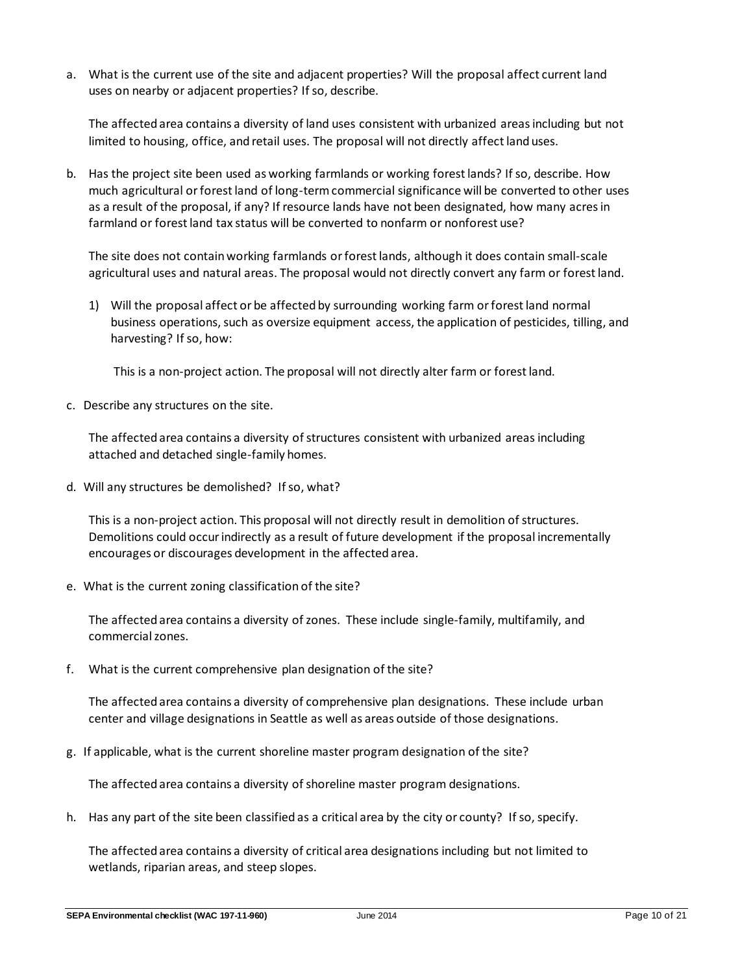a. What is the current use of the site and adjacent properties? Will the proposal affect current land uses on nearby or adjacent properties? If so, describe.

The affected area contains a diversity of land uses consistent with urbanized areas including but not limited to housing, office, and retail uses. The proposal will not directly affect land uses.

b. Has the project site been used as working farmlands or working forest lands? If so, describe. How much agricultural or forest land of long-term commercial significance will be converted to other uses as a result of the proposal, if any? If resource lands have not been designated, how many acres in farmland or forest land tax status will be converted to nonfarm or nonforest use?

The site does not contain working farmlands or forest lands, although it does contain small-scale agricultural uses and natural areas. The proposal would not directly convert any farm or forest land.

1) Will the proposal affect or be affected by surrounding working farm or forest land normal business operations, such as oversize equipment access, the application of pesticides, tilling, and harvesting? If so, how:

This is a non-project action. The proposal will not directly alter farm or forest land.

c. Describe any structures on the site.

The affected area contains a diversity of structures consistent with urbanized areas including attached and detached single-family homes.

d. Will any structures be demolished? If so, what?

This is a non-project action. This proposal will not directly result in demolition of structures. Demolitions could occur indirectly as a result of future development if the proposal incrementally encourages or discourages development in the affected area.

e. What is the current zoning classification of the site?

The affected area contains a diversity of zones. These include single-family, multifamily, and commercial zones.

f. What is the current comprehensive plan designation of the site?

The affected area contains a diversity of comprehensive plan designations. These include urban center and village designations in Seattle as well as areas outside of those designations.

g. If applicable, what is the current shoreline master program designation of the site?

The affected area contains a diversity of shoreline master program designations.

h. Has any part of the site been classified as a critical area by the city or county? If so, specify.

The affected area contains a diversity of critical area designations including but not limited to wetlands, riparian areas, and steep slopes.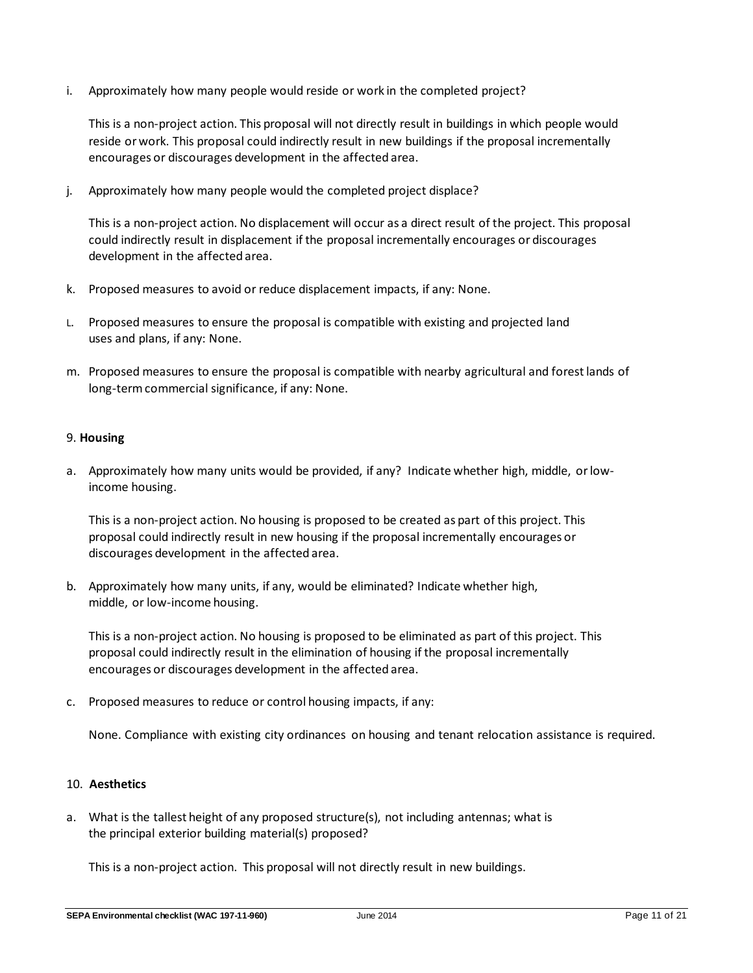i. Approximately how many people would reside or work in the completed project?

This is a non-project action. This proposal will not directly result in buildings in which people would reside or work. This proposal could indirectly result in new buildings if the proposal incrementally encourages or discourages development in the affected area.

j. Approximately how many people would the completed project displace?

This is a non-project action. No displacement will occur as a direct result of the project. This proposal could indirectly result in displacement if the proposal incrementally encourages or discourages development in the affected area.

- k. Proposed measures to avoid or reduce displacement impacts, if any: None.
- L. Proposed measures to ensure the proposal is compatible with existing and projected land uses and plans, if any: None.
- m. Proposed measures to ensure the proposal is compatible with nearby agricultural and forest lands of long-term commercial significance, if any: None.

#### 9. **Housing**

a. Approximately how many units would be provided, if any? Indicate whether high, middle, or lowincome housing.

This is a non-project action. No housing is proposed to be created as part of this project. This proposal could indirectly result in new housing if the proposal incrementally encourages or discourages development in the affected area.

b. Approximately how many units, if any, would be eliminated? Indicate whether high, middle, or low-income housing.

This is a non-project action. No housing is proposed to be eliminated as part of this project. This proposal could indirectly result in the elimination of housing if the proposal incrementally encourages or discourages development in the affected area.

c. Proposed measures to reduce or control housing impacts, if any:

None. Compliance with existing city ordinances on housing and tenant relocation assistance is required.

## 10. **Aesthetics**

a. What is the tallest height of any proposed structure(s), not including antennas; what is the principal exterior building material(s) proposed?

This is a non-project action. This proposal will not directly result in new buildings.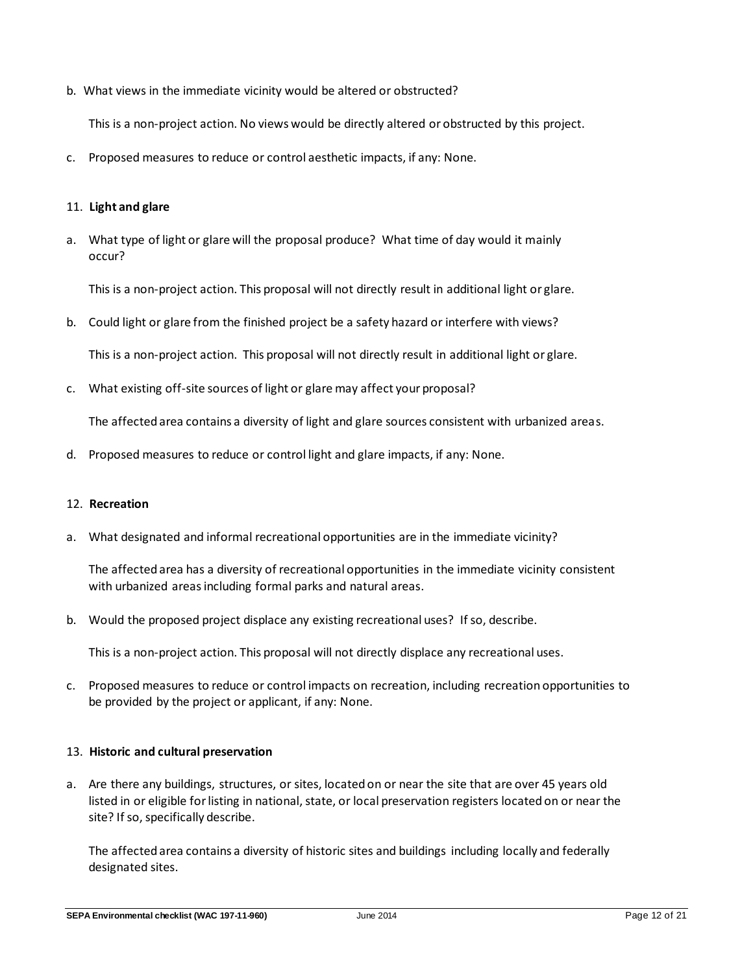b. What views in the immediate vicinity would be altered or obstructed?

This is a non-project action. No views would be directly altered or obstructed by this project.

c. Proposed measures to reduce or control aesthetic impacts, if any: None.

#### 11. **Light and glare**

a. What type of light or glare will the proposal produce? What time of day would it mainly occur?

This is a non-project action. This proposal will not directly result in additional light or glare.

b. Could light or glare from the finished project be a safety hazard or interfere with views?

This is a non-project action. This proposal will not directly result in additional light or glare.

c. What existing off-site sources of light or glare may affect your proposal?

The affected area contains a diversity of light and glare sources consistent with urbanized areas.

d. Proposed measures to reduce or control light and glare impacts, if any: None.

#### 12. **Recreation**

a. What designated and informal recreational opportunities are in the immediate vicinity?

The affected area has a diversity of recreational opportunities in the immediate vicinity consistent with urbanized areas including formal parks and natural areas.

b. Would the proposed project displace any existing recreational uses? If so, describe.

This is a non-project action. This proposal will not directly displace any recreational uses.

c. Proposed measures to reduce or control impacts on recreation, including recreation opportunities to be provided by the project or applicant, if any: None.

#### 13. **Historic and cultural preservation**

a. Are there any buildings, structures, or sites, located on or near the site that are over 45 years old listed in or eligible for listing in national, state, or local preservation registers located on or near the site? If so, specifically describe.

The affected area contains a diversity of historic sites and buildings including locally and federally designated sites.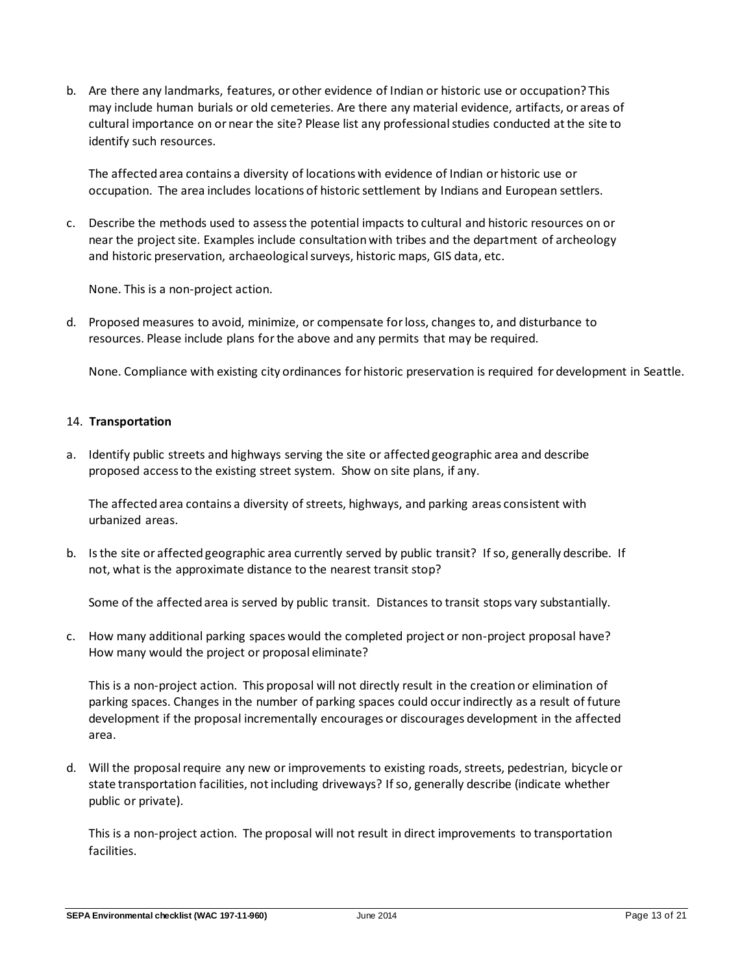b. Are there any landmarks, features, or other evidence of Indian or historic use or occupation? This may include human burials or old cemeteries. Are there any material evidence, artifacts, or areas of cultural importance on or near the site? Please list any professional studies conducted at the site to identify such resources.

The affected area contains a diversity of locations with evidence of Indian or historic use or occupation. The area includes locations of historic settlement by Indians and European settlers.

c. Describe the methods used to assess the potential impacts to cultural and historic resources on or near the project site. Examples include consultation with tribes and the department of archeology and historic preservation, archaeological surveys, historic maps, GIS data, etc.

None. This is a non-project action.

d. Proposed measures to avoid, minimize, or compensate for loss, changes to, and disturbance to resources. Please include plans for the above and any permits that may be required.

None. Compliance with existing city ordinances for historic preservation is required for development in Seattle.

#### 14. **Transportation**

a. Identify public streets and highways serving the site or affected geographic area and describe proposed access to the existing street system. Show on site plans, if any.

The affected area contains a diversity of streets, highways, and parking areas consistent with urbanized areas.

b. Is the site or affected geographic area currently served by public transit? If so, generally describe. If not, what is the approximate distance to the nearest transit stop?

Some of the affected area is served by public transit. Distances to transit stops vary substantially.

c. How many additional parking spaces would the completed project or non-project proposal have? How many would the project or proposal eliminate?

This is a non-project action. This proposal will not directly result in the creation or elimination of parking spaces. Changes in the number of parking spaces could occur indirectly as a result of future development if the proposal incrementally encourages or discourages development in the affected area.

d. Will the proposal require any new or improvements to existing roads, streets, pedestrian, bicycle or state transportation facilities, not including driveways? If so, generally describe (indicate whether public or private).

This is a non-project action. The proposal will not result in direct improvements to transportation facilities.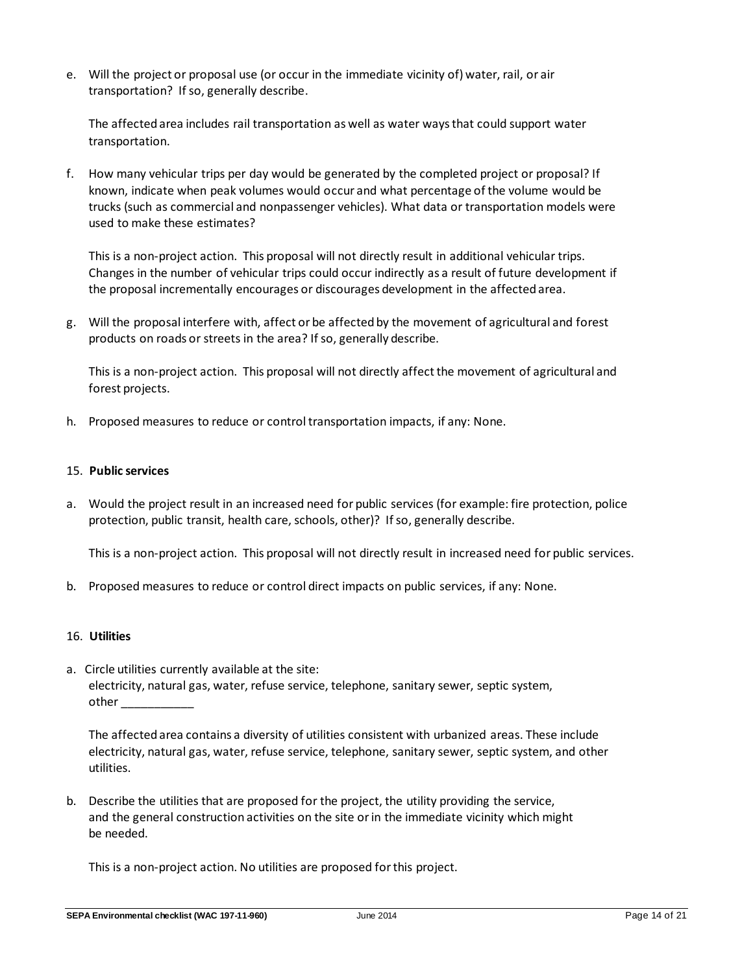e. Will the project or proposal use (or occur in the immediate vicinity of) water, rail, or air transportation? If so, generally describe.

The affected area includes rail transportation as well as water ways that could support water transportation.

f. How many vehicular trips per day would be generated by the completed project or proposal? If known, indicate when peak volumes would occur and what percentage of the volume would be trucks (such as commercial and nonpassenger vehicles). What data or transportation models were used to make these estimates?

This is a non-project action. This proposal will not directly result in additional vehicular trips. Changes in the number of vehicular trips could occur indirectly as a result of future development if the proposal incrementally encourages or discourages development in the affected area.

g. Will the proposal interfere with, affect or be affected by the movement of agricultural and forest products on roads or streets in the area? If so, generally describe.

This is a non-project action. This proposal will not directly affect the movement of agricultural and forest projects.

h. Proposed measures to reduce or control transportation impacts, if any: None.

#### 15. **Public services**

a. Would the project result in an increased need for public services (for example: fire protection, police protection, public transit, health care, schools, other)? If so, generally describe.

This is a non-project action. This proposal will not directly result in increased need for public services.

b. Proposed measures to reduce or control direct impacts on public services, if any: None.

#### 16. **Utilities**

a. Circle utilities currently available at the site: electricity, natural gas, water, refuse service, telephone, sanitary sewer, septic system, other \_\_\_\_\_

The affected area contains a diversity of utilities consistent with urbanized areas. These include electricity, natural gas, water, refuse service, telephone, sanitary sewer, septic system, and other utilities.

b. Describe the utilities that are proposed for the project, the utility providing the service, and the general construction activities on the site or in the immediate vicinity which might be needed.

This is a non-project action. No utilities are proposed for this project.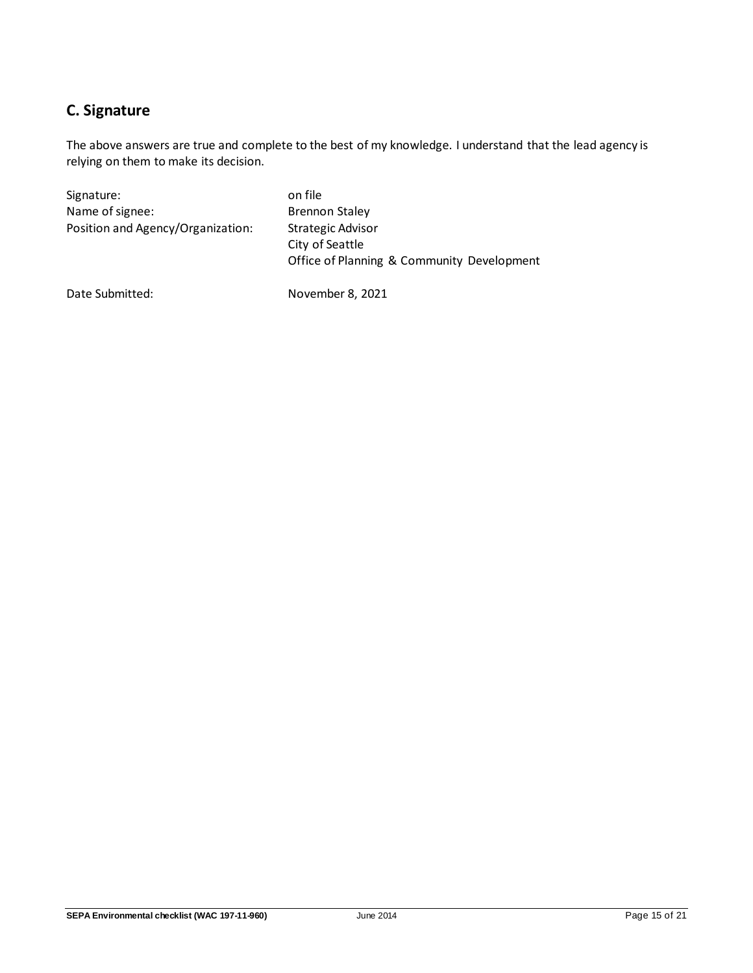## **C. Signature**

The above answers are true and complete to the best of my knowledge. I understand that the lead agency is relying on them to make its decision.

| Signature:                        | on file                                                                                   |
|-----------------------------------|-------------------------------------------------------------------------------------------|
| Name of signee:                   | <b>Brennon Staley</b>                                                                     |
| Position and Agency/Organization: | <b>Strategic Advisor</b><br>City of Seattle<br>Office of Planning & Community Development |

Date Submitted: November 8, 2021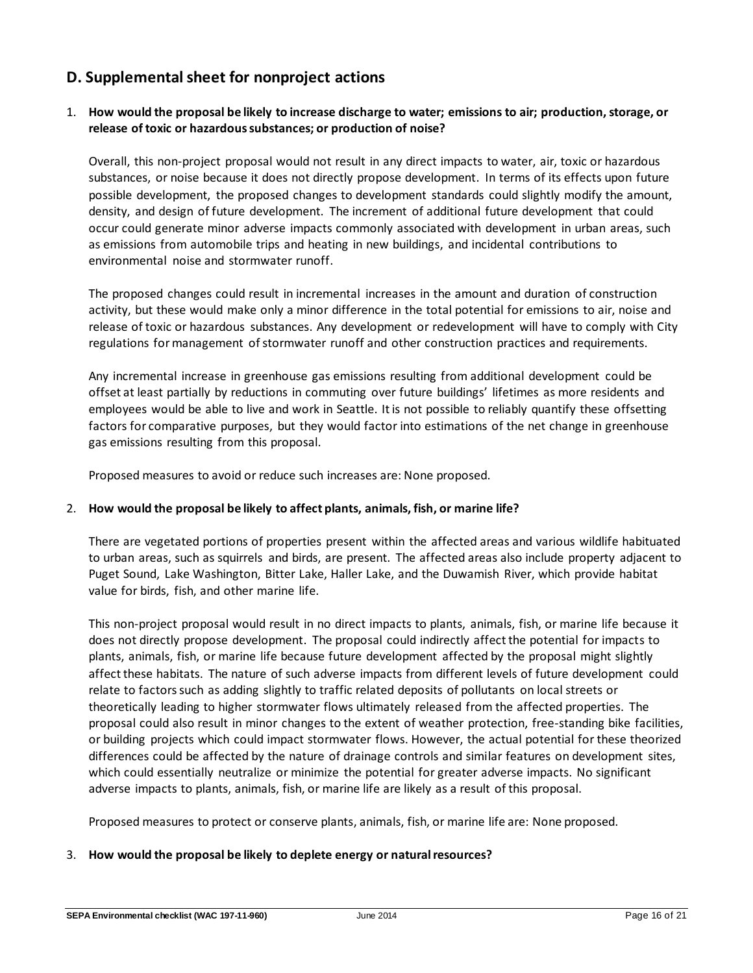## **D. Supplemental sheet for nonproject actions**

## 1. **How would the proposal be likely to increase discharge to water; emissions to air; production, storage, or release of toxic or hazardous substances; or production of noise?**

Overall, this non-project proposal would not result in any direct impacts to water, air, toxic or hazardous substances, or noise because it does not directly propose development. In terms of its effects upon future possible development, the proposed changes to development standards could slightly modify the amount, density, and design of future development. The increment of additional future development that could occur could generate minor adverse impacts commonly associated with development in urban areas, such as emissions from automobile trips and heating in new buildings, and incidental contributions to environmental noise and stormwater runoff.

The proposed changes could result in incremental increases in the amount and duration of construction activity, but these would make only a minor difference in the total potential for emissions to air, noise and release of toxic or hazardous substances. Any development or redevelopment will have to comply with City regulations for management of stormwater runoff and other construction practices and requirements.

Any incremental increase in greenhouse gas emissions resulting from additional development could be offset at least partially by reductions in commuting over future buildings' lifetimes as more residents and employees would be able to live and work in Seattle. It is not possible to reliably quantify these offsetting factors for comparative purposes, but they would factor into estimations of the net change in greenhouse gas emissions resulting from this proposal.

Proposed measures to avoid or reduce such increases are: None proposed.

## 2. **How would the proposal be likely to affect plants, animals, fish, or marine life?**

There are vegetated portions of properties present within the affected areas and various wildlife habituated to urban areas, such as squirrels and birds, are present. The affected areas also include property adjacent to Puget Sound, Lake Washington, Bitter Lake, Haller Lake, and the Duwamish River, which provide habitat value for birds, fish, and other marine life.

This non-project proposal would result in no direct impacts to plants, animals, fish, or marine life because it does not directly propose development. The proposal could indirectly affect the potential for impacts to plants, animals, fish, or marine life because future development affected by the proposal might slightly affect these habitats. The nature of such adverse impacts from different levels of future development could relate to factors such as adding slightly to traffic related deposits of pollutants on local streets or theoretically leading to higher stormwater flows ultimately released from the affected properties. The proposal could also result in minor changes to the extent of weather protection, free-standing bike facilities, or building projects which could impact stormwater flows. However, the actual potential for these theorized differences could be affected by the nature of drainage controls and similar features on development sites, which could essentially neutralize or minimize the potential for greater adverse impacts. No significant adverse impacts to plants, animals, fish, or marine life are likely as a result of this proposal.

Proposed measures to protect or conserve plants, animals, fish, or marine life are: None proposed.

#### 3. **How would the proposal be likely to deplete energy or natural resources?**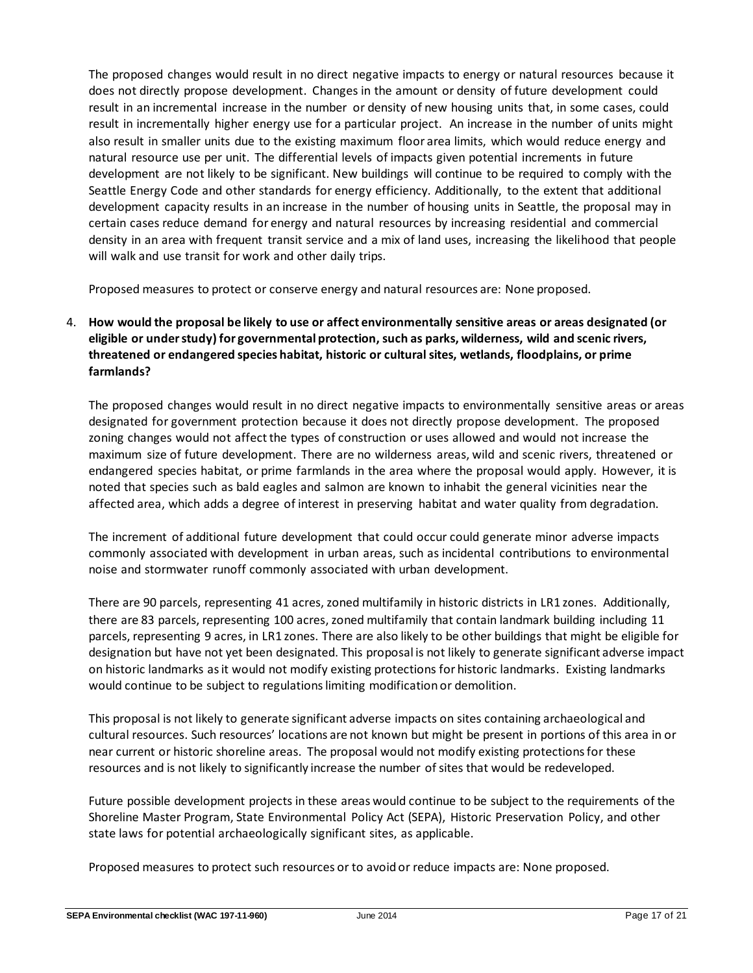The proposed changes would result in no direct negative impacts to energy or natural resources because it does not directly propose development. Changes in the amount or density of future development could result in an incremental increase in the number or density of new housing units that, in some cases, could result in incrementally higher energy use for a particular project. An increase in the number of units might also result in smaller units due to the existing maximum floor area limits, which would reduce energy and natural resource use per unit. The differential levels of impacts given potential increments in future development are not likely to be significant. New buildings will continue to be required to comply with the Seattle Energy Code and other standards for energy efficiency. Additionally, to the extent that additional development capacity results in an increase in the number of housing units in Seattle, the proposal may in certain cases reduce demand for energy and natural resources by increasing residential and commercial density in an area with frequent transit service and a mix of land uses, increasing the likelihood that people will walk and use transit for work and other daily trips.

Proposed measures to protect or conserve energy and natural resources are: None proposed.

## 4. **How would the proposal be likely to use or affect environmentally sensitive areas or areas designated (or eligible or under study) for governmental protection, such as parks, wilderness, wild and scenic rivers, threatened or endangered species habitat, historic or cultural sites, wetlands, floodplains, or prime farmlands?**

The proposed changes would result in no direct negative impacts to environmentally sensitive areas or areas designated for government protection because it does not directly propose development. The proposed zoning changes would not affect the types of construction or uses allowed and would not increase the maximum size of future development. There are no wilderness areas, wild and scenic rivers, threatened or endangered species habitat, or prime farmlands in the area where the proposal would apply. However, it is noted that species such as bald eagles and salmon are known to inhabit the general vicinities near the affected area, which adds a degree of interest in preserving habitat and water quality from degradation.

The increment of additional future development that could occur could generate minor adverse impacts commonly associated with development in urban areas, such as incidental contributions to environmental noise and stormwater runoff commonly associated with urban development.

There are 90 parcels, representing 41 acres, zoned multifamily in historic districts in LR1 zones. Additionally, there are 83 parcels, representing 100 acres, zoned multifamily that contain landmark building including 11 parcels, representing 9 acres, in LR1 zones. There are also likely to be other buildings that might be eligible for designation but have not yet been designated. This proposal is not likely to generate significant adverse impact on historic landmarks as it would not modify existing protections for historic landmarks. Existing landmarks would continue to be subject to regulations limiting modification or demolition.

This proposal is not likely to generate significant adverse impacts on sites containing archaeological and cultural resources. Such resources' locations are not known but might be present in portions of this area in or near current or historic shoreline areas. The proposal would not modify existing protections for these resources and is not likely to significantly increase the number of sites that would be redeveloped.

Future possible development projects in these areas would continue to be subject to the requirements of the Shoreline Master Program, State Environmental Policy Act (SEPA), Historic Preservation Policy, and other state laws for potential archaeologically significant sites, as applicable.

Proposed measures to protect such resources or to avoid or reduce impacts are: None proposed.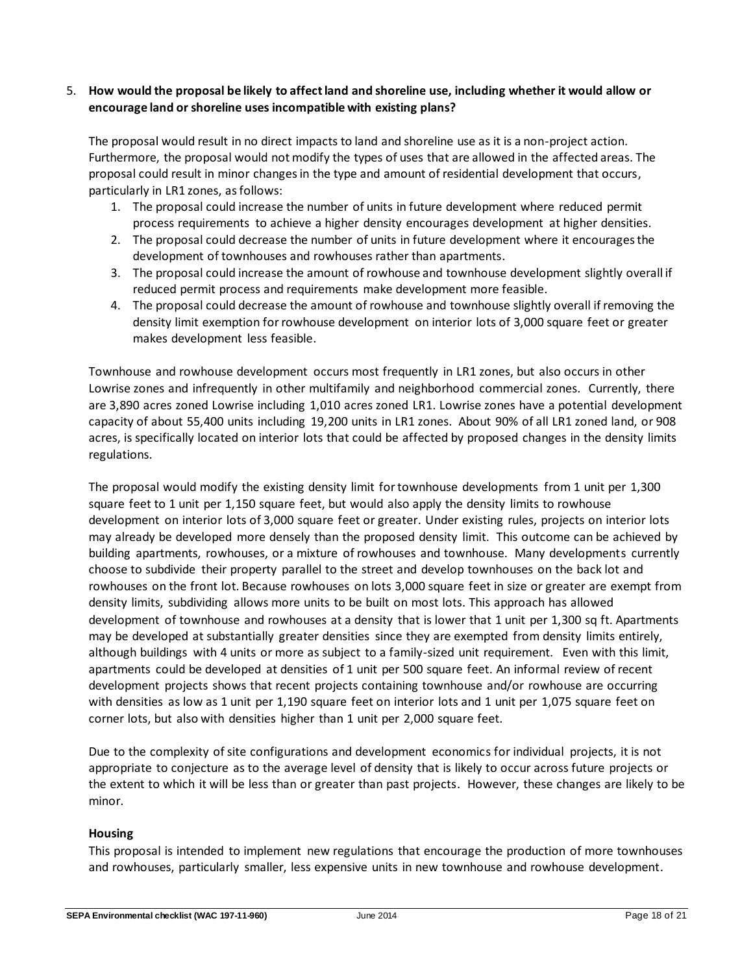## 5. **How would the proposal be likely to affect land and shoreline use, including whether it would allow or encourage land or shoreline uses incompatible with existing plans?**

The proposal would result in no direct impacts to land and shoreline use as it is a non-project action. Furthermore, the proposal would not modify the types of uses that are allowed in the affected areas. The proposal could result in minor changes in the type and amount of residential development that occurs, particularly in LR1 zones, as follows:

- 1. The proposal could increase the number of units in future development where reduced permit process requirements to achieve a higher density encourages development at higher densities.
- 2. The proposal could decrease the number of units in future development where it encourages the development of townhouses and rowhouses rather than apartments.
- 3. The proposal could increase the amount of rowhouse and townhouse development slightly overall if reduced permit process and requirements make development more feasible.
- 4. The proposal could decrease the amount of rowhouse and townhouse slightly overall if removing the density limit exemption for rowhouse development on interior lots of 3,000 square feet or greater makes development less feasible.

Townhouse and rowhouse development occurs most frequently in LR1 zones, but also occurs in other Lowrise zones and infrequently in other multifamily and neighborhood commercial zones. Currently, there are 3,890 acres zoned Lowrise including 1,010 acres zoned LR1. Lowrise zones have a potential development capacity of about 55,400 units including 19,200 units in LR1 zones. About 90% of all LR1 zoned land, or 908 acres, is specifically located on interior lots that could be affected by proposed changes in the density limits regulations.

The proposal would modify the existing density limit for townhouse developments from 1 unit per 1,300 square feet to 1 unit per 1,150 square feet, but would also apply the density limits to rowhouse development on interior lots of 3,000 square feet or greater. Under existing rules, projects on interior lots may already be developed more densely than the proposed density limit. This outcome can be achieved by building apartments, rowhouses, or a mixture of rowhouses and townhouse. Many developments currently choose to subdivide their property parallel to the street and develop townhouses on the back lot and rowhouses on the front lot. Because rowhouses on lots 3,000 square feet in size or greater are exempt from density limits, subdividing allows more units to be built on most lots. This approach has allowed development of townhouse and rowhouses at a density that is lower that 1 unit per 1,300 sq ft. Apartments may be developed at substantially greater densities since they are exempted from density limits entirely, although buildings with 4 units or more as subject to a family-sized unit requirement. Even with this limit, apartments could be developed at densities of 1 unit per 500 square feet. An informal review of recent development projects shows that recent projects containing townhouse and/or rowhouse are occurring with densities as low as 1 unit per 1,190 square feet on interior lots and 1 unit per 1,075 square feet on corner lots, but also with densities higher than 1 unit per 2,000 square feet.

Due to the complexity of site configurations and development economics for individual projects, it is not appropriate to conjecture as to the average level of density that is likely to occur across future projects or the extent to which it will be less than or greater than past projects. However, these changes are likely to be minor.

## **Housing**

This proposal is intended to implement new regulations that encourage the production of more townhouses and rowhouses, particularly smaller, less expensive units in new townhouse and rowhouse development.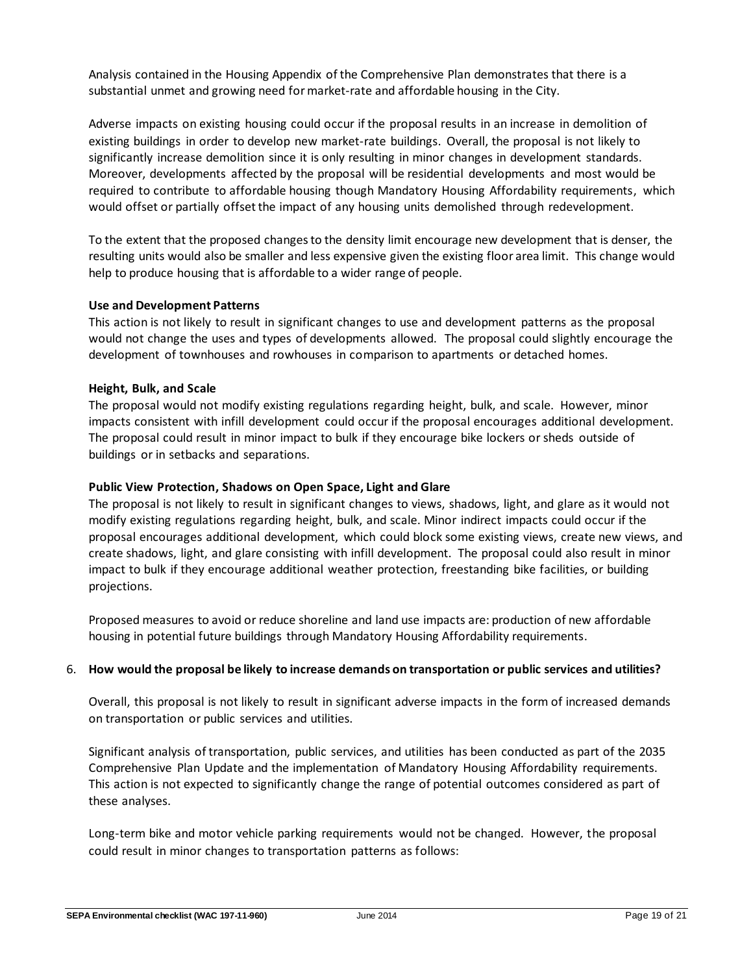Analysis contained in the Housing Appendix of the Comprehensive Plan demonstrates that there is a substantial unmet and growing need for market-rate and affordable housing in the City.

Adverse impacts on existing housing could occur if the proposal results in an increase in demolition of existing buildings in order to develop new market-rate buildings. Overall, the proposal is not likely to significantly increase demolition since it is only resulting in minor changes in development standards. Moreover, developments affected by the proposal will be residential developments and most would be required to contribute to affordable housing though Mandatory Housing Affordability requirements, which would offset or partially offset the impact of any housing units demolished through redevelopment.

To the extent that the proposed changes to the density limit encourage new development that is denser, the resulting units would also be smaller and less expensive given the existing floor area limit. This change would help to produce housing that is affordable to a wider range of people.

#### **Use and Development Patterns**

This action is not likely to result in significant changes to use and development patterns as the proposal would not change the uses and types of developments allowed. The proposal could slightly encourage the development of townhouses and rowhouses in comparison to apartments or detached homes.

#### **Height, Bulk, and Scale**

The proposal would not modify existing regulations regarding height, bulk, and scale. However, minor impacts consistent with infill development could occur if the proposal encourages additional development. The proposal could result in minor impact to bulk if they encourage bike lockers or sheds outside of buildings or in setbacks and separations.

#### **Public View Protection, Shadows on Open Space, Light and Glare**

The proposal is not likely to result in significant changes to views, shadows, light, and glare as it would not modify existing regulations regarding height, bulk, and scale. Minor indirect impacts could occur if the proposal encourages additional development, which could block some existing views, create new views, and create shadows, light, and glare consisting with infill development. The proposal could also result in minor impact to bulk if they encourage additional weather protection, freestanding bike facilities, or building projections.

Proposed measures to avoid or reduce shoreline and land use impacts are: production of new affordable housing in potential future buildings through Mandatory Housing Affordability requirements.

#### 6. **How would the proposal be likely to increase demands on transportation or public services and utilities?**

Overall, this proposal is not likely to result in significant adverse impacts in the form of increased demands on transportation or public services and utilities.

Significant analysis of transportation, public services, and utilities has been conducted as part of the 2035 Comprehensive Plan Update and the implementation of Mandatory Housing Affordability requirements. This action is not expected to significantly change the range of potential outcomes considered as part of these analyses.

Long-term bike and motor vehicle parking requirements would not be changed. However, the proposal could result in minor changes to transportation patterns as follows: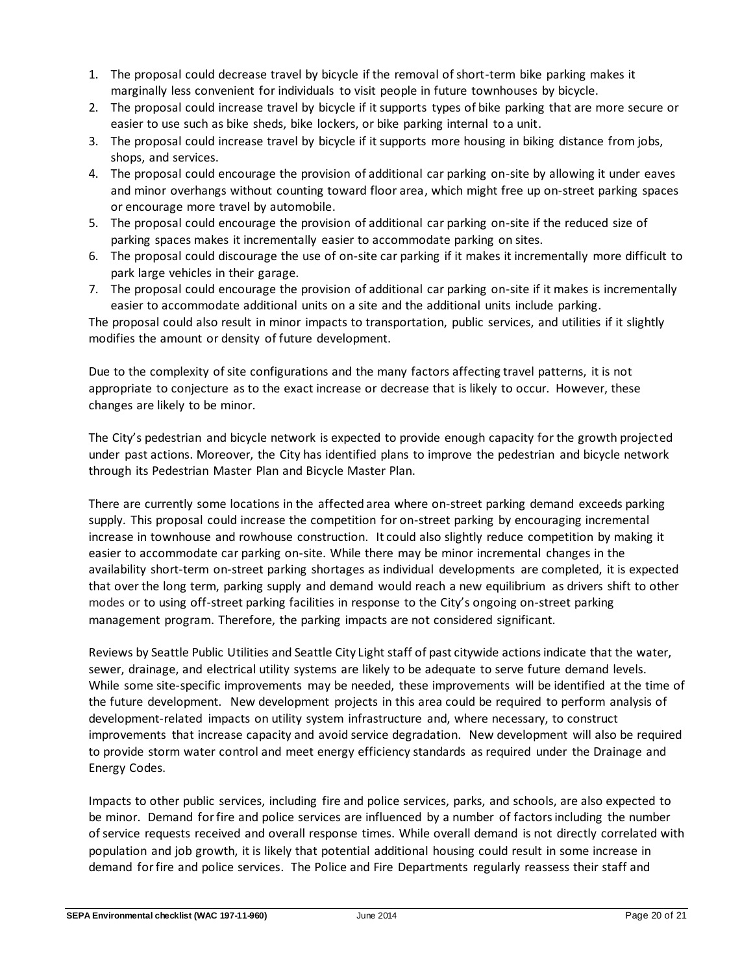- 1. The proposal could decrease travel by bicycle if the removal of short-term bike parking makes it marginally less convenient for individuals to visit people in future townhouses by bicycle.
- 2. The proposal could increase travel by bicycle if it supports types of bike parking that are more secure or easier to use such as bike sheds, bike lockers, or bike parking internal to a unit.
- 3. The proposal could increase travel by bicycle if it supports more housing in biking distance from jobs, shops, and services.
- 4. The proposal could encourage the provision of additional car parking on-site by allowing it under eaves and minor overhangs without counting toward floor area, which might free up on-street parking spaces or encourage more travel by automobile.
- 5. The proposal could encourage the provision of additional car parking on-site if the reduced size of parking spaces makes it incrementally easier to accommodate parking on sites.
- 6. The proposal could discourage the use of on-site car parking if it makes it incrementally more difficult to park large vehicles in their garage.
- 7. The proposal could encourage the provision of additional car parking on-site if it makes is incrementally easier to accommodate additional units on a site and the additional units include parking.

The proposal could also result in minor impacts to transportation, public services, and utilities if it slightly modifies the amount or density of future development.

Due to the complexity of site configurations and the many factors affecting travel patterns, it is not appropriate to conjecture as to the exact increase or decrease that is likely to occur. However, these changes are likely to be minor.

The City's pedestrian and bicycle network is expected to provide enough capacity for the growth projected under past actions. Moreover, the City has identified plans to improve the pedestrian and bicycle network through its Pedestrian Master Plan and Bicycle Master Plan.

There are currently some locations in the affected area where on-street parking demand exceeds parking supply. This proposal could increase the competition for on-street parking by encouraging incremental increase in townhouse and rowhouse construction. It could also slightly reduce competition by making it easier to accommodate car parking on-site. While there may be minor incremental changes in the availability short-term on-street parking shortages as individual developments are completed, it is expected that over the long term, parking supply and demand would reach a new equilibrium as drivers shift to other modes or to using off-street parking facilities in response to the City's ongoing on-street parking management program. Therefore, the parking impacts are not considered significant.

Reviews by Seattle Public Utilities and Seattle City Light staff of past citywide actions indicate that the water, sewer, drainage, and electrical utility systems are likely to be adequate to serve future demand levels. While some site-specific improvements may be needed, these improvements will be identified at the time of the future development. New development projects in this area could be required to perform analysis of development-related impacts on utility system infrastructure and, where necessary, to construct improvements that increase capacity and avoid service degradation. New development will also be required to provide storm water control and meet energy efficiency standards as required under the Drainage and Energy Codes.

Impacts to other public services, including fire and police services, parks, and schools, are also expected to be minor. Demand for fire and police services are influenced by a number of factorsincluding the number of service requests received and overall response times. While overall demand is not directly correlated with population and job growth, it is likely that potential additional housing could result in some increase in demand for fire and police services. The Police and Fire Departments regularly reassess their staff and